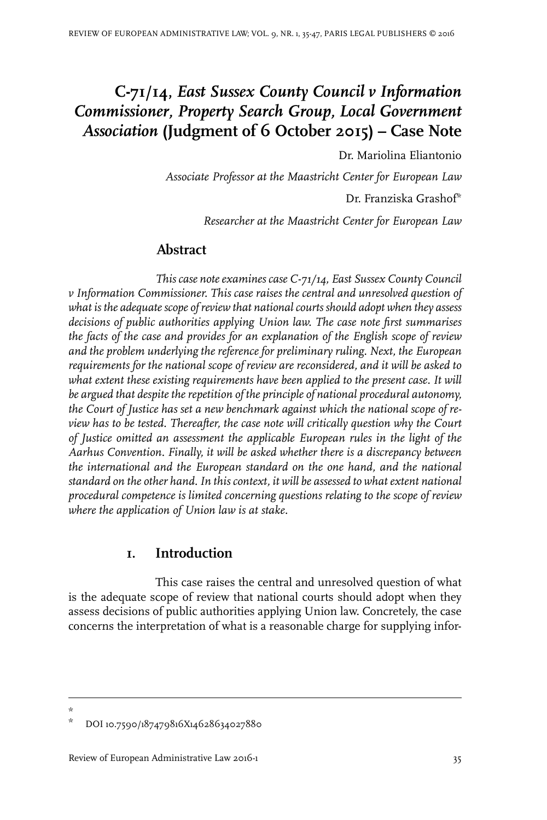# **C-71/14,** *East Sussex County Council v Information Commissioner, Property Search Group, Local Government Association* **(Judgment of 6 October 2015) – Case Note**

Dr. Mariolina Eliantonio

*Associate Professor at the Maastricht Center for European Law*

Dr. Franziska Grashof\*

*Researcher at the Maastricht Center for European Law*

# **Abstract**

*This case note examines case C-71/14, East Sussex County Council v Information Commissioner. This case raises the central and unresolved question of what* is the adequate scope of review that national courts should adopt when they assess *decisions of public authorities applying Union law. The case note first summarises the facts of the case and provides for an explanation of the English scope of review and the problem underlying the reference for preliminary ruling. Next, the European requirements for the national scope of review are reconsidered, and it will be asked to what extent these existing requirements have been applied to the present case. It will be argued that despite the repetition of the principle of national procedural autonomy, the Court of Justice has set a new benchmark against which the national scope of review has to be tested. Thereafter, the case note will critically question why the Court of Justice omitted an assessment the applicable European rules in the light of the Aarhus Convention. Finally, it will be asked whether there is a discrepancy between the international and the European standard on the one hand, and the national standard on the other hand.In this context, it will be assessed to what extent national procedural competence is limited concerning questions relating to the scope of review where the application of Union law is at stake.*

## **1. Introduction**

This case raises the central and unresolved question of what is the adequate scope of review that national courts should adopt when they assess decisions of public authorities applying Union law. Concretely, the case concerns the interpretation of what is a reasonable charge for supplying infor-

<sup>\*</sup>

DOI 10.7590/187479816X14628634027880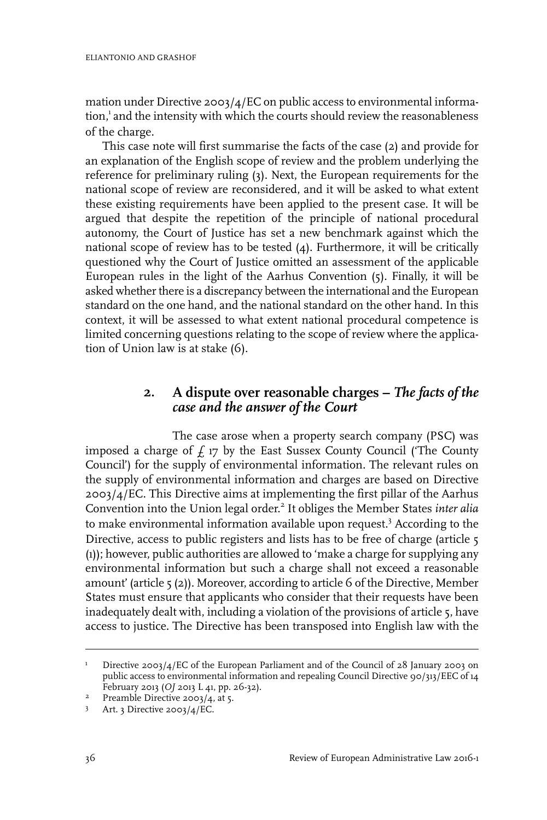mation under Directive 2003/4/EC on public access to environmental information,<sup>1</sup> and the intensity with which the courts should review the reasonableness of the charge.

This case note will first summarise the facts of the case (2) and provide for an explanation of the English scope of review and the problem underlying the reference for preliminary ruling (3). Next, the European requirements for the national scope of review are reconsidered, and it will be asked to what extent these existing requirements have been applied to the present case. It will be argued that despite the repetition of the principle of national procedural autonomy, the Court of Justice has set a new benchmark against which the national scope of review has to be tested (4). Furthermore, it will be critically questioned why the Court of Justice omitted an assessment of the applicable European rules in the light of the Aarhus Convention (5). Finally, it will be asked whether there is a discrepancy between the international and the European standard on the one hand, and the national standard on the other hand. In this context, it will be assessed to what extent national procedural competence is limited concerning questions relating to the scope of review where the application of Union law is at stake (6).

### **2. A dispute over reasonable charges –** *The facts of the case and the answer of the Court*

The case arose when a property search company (PSC) was imposed a charge of  $f$  17 by the East Sussex County Council (The County Council') for the supply of environmental information. The relevant rules on the supply of environmental information and charges are based on Directive 2003/4/EC. This Directive aims at implementing the first pillar of the Aarhus Convention into the Union legal order. 2 It obliges the Member States *inter alia* to make environmental information available upon request.<sup>3</sup> According to the Directive, access to public registers and lists has to be free of charge (article 5 (1)); however, public authorities are allowed to 'make a charge for supplying any environmental information but such a charge shall not exceed a reasonable amount' (article 5 (2)). Moreover, according to article 6 of the Directive, Member States must ensure that applicants who consider that their requests have been inadequately dealt with, including a violation of the provisions of article 5, have access to justice. The Directive has been transposed into English law with the

Directive 2003/4/EC of the European Parliament and of the Council of 28 January 2003 on public access to environmental information and repealing Council Directive 90/313/EEC of 14 February 2013 (*OJ* 2013 L 41, pp. 26-32). 1

<sup>&</sup>lt;sup>2</sup> Preamble Directive 2003/4, at 5.

<sup>3</sup> Art. 3 Directive 2003/4/EC.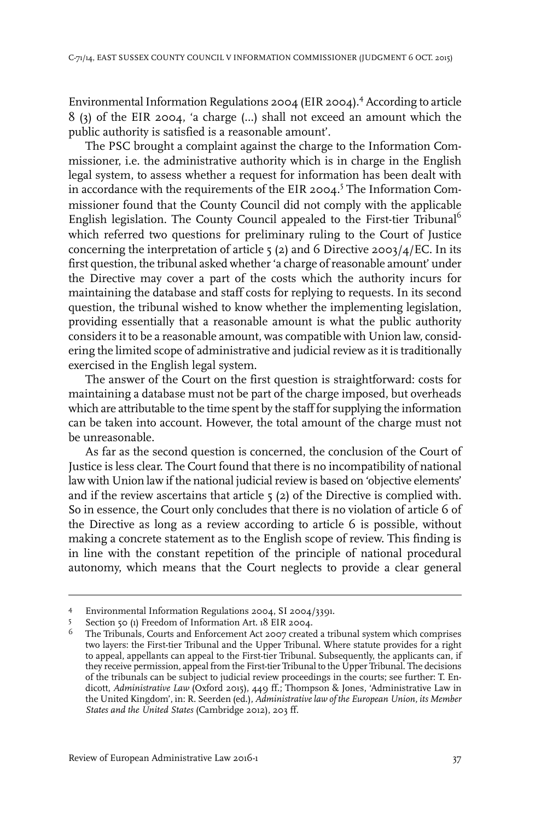Environmental Information Regulations 2004 (EIR 2004).<sup>4</sup> According to article 8 (3) of the EIR 2004, 'a charge (…) shall not exceed an amount which the public authority is satisfied is a reasonable amount'.

The PSC brought a complaint against the charge to the Information Commissioner, i.e. the administrative authority which is in charge in the English legal system, to assess whether a request for information has been dealt with in accordance with the requirements of the EIR 2004.<sup>5</sup> The Information Commissioner found that the County Council did not comply with the applicable English legislation. The County Council appealed to the First-tier Tribunal<sup>6</sup> which referred two questions for preliminary ruling to the Court of Justice concerning the interpretation of article  $\frac{1}{2}$  (2) and 6 Directive 2003/4/EC. In its first question, the tribunal asked whether 'a charge of reasonable amount' under the Directive may cover a part of the costs which the authority incurs for maintaining the database and staff costs for replying to requests. In its second question, the tribunal wished to know whether the implementing legislation, providing essentially that a reasonable amount is what the public authority considers it to be a reasonable amount, was compatible with Union law, considering the limited scope of administrative and judicial review as it is traditionally exercised in the English legal system.

The answer of the Court on the first question is straightforward: costs for maintaining a database must not be part of the charge imposed, but overheads which are attributable to the time spent by the staff for supplying the information can be taken into account. However, the total amount of the charge must not be unreasonable.

As far as the second question is concerned, the conclusion of the Court of Justice is less clear. The Court found that there is no incompatibility of national law with Union law if the national judicial review is based on 'objective elements' and if the review ascertains that article  $\zeta$  (2) of the Directive is complied with. So in essence, the Court only concludes that there is no violation of article 6 of the Directive as long as a review according to article 6 is possible, without making a concrete statement as to the English scope of review. This finding is in line with the constant repetition of the principle of national procedural autonomy, which means that the Court neglects to provide a clear general

<sup>4</sup> Environmental Information Regulations 2004, SI 2004/3391.

<sup>5</sup> Section 50 (1) Freedom of Information Art. 18 EIR 2004.

 $^6$  The Tribunals, Courts and Enforcement Act 2007 created a tribunal system which comprises two layers: the First-tier Tribunal and the Upper Tribunal. Where statute provides for a right to appeal, appellants can appeal to the First-tier Tribunal. Subsequently, the applicants can, if they receive permission, appeal from the First-tier Tribunal to the Upper Tribunal. The decisions of the tribunals can be subject to judicial review proceedings in the courts; see further: T. Endicott, *Administrative Law* (Oxford 2015), 449 ff.; Thompson & Jones, 'Administrative Law in the United Kingdom', in: R. Seerden (ed.), *Administrative law of the European Union, its Member States and the United States* (Cambridge 2012), 203 ff.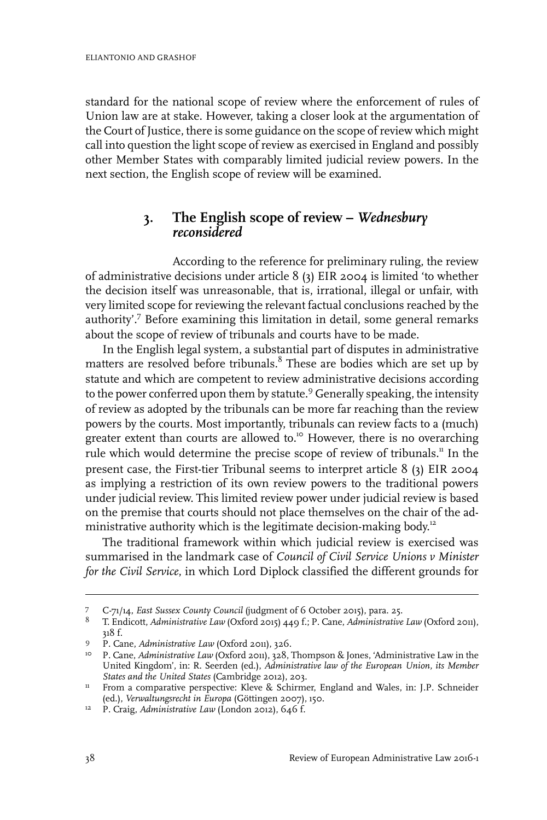standard for the national scope of review where the enforcement of rules of Union law are at stake. However, taking a closer look at the argumentation of the Court of Justice, there is some guidance on the scope of review which might call into question the light scope of review as exercised in England and possibly other Member States with comparably limited judicial review powers. In the next section, the English scope of review will be examined.

## **3. The English scope of review –** *Wednesbury reconsidered*

According to the reference for preliminary ruling, the review of administrative decisions under article 8 (3) EIR 2004 is limited 'to whether the decision itself was unreasonable, that is, irrational, illegal or unfair, with very limited scope for reviewing the relevant factual conclusions reached by the authority'.<sup>7</sup> Before examining this limitation in detail, some general remarks about the scope of review of tribunals and courts have to be made.

In the English legal system, a substantial part of disputes in administrative matters are resolved before tribunals. $^8$  These are bodies which are set up by statute and which are competent to review administrative decisions according to the power conferred upon them by statute.<sup>9</sup> Generally speaking, the intensity of review as adopted by the tribunals can be more far reaching than the review powers by the courts. Most importantly, tribunals can review facts to a (much) greater extent than courts are allowed to.<sup>10</sup> However, there is no overarching rule which would determine the precise scope of review of tribunals.<sup>11</sup> In the present case, the First-tier Tribunal seems to interpret article 8 (3) EIR 2004 as implying a restriction of its own review powers to the traditional powers under judicial review. This limited review power under judicial review is based on the premise that courts should not place themselves on the chair of the administrative authority which is the legitimate decision-making body.<sup>12</sup>

The traditional framework within which judicial review is exercised was summarised in the landmark case of *Council of Civil Service Unions v Minister for the Civil Service*, in which Lord Diplock classified the different grounds for

C-71/14, *East Sussex County Council* (judgment of 6 October 2015), para. 25. <sup>7</sup>

T. Endicott, *Administrative Law* (Oxford 2015) 449 f.; P. Cane, *Administrative Law* (Oxford 2011), 8 318 f.

<sup>&</sup>lt;sup>9</sup> P. Cane, *Administrative Law* (Oxford 2011), 326.

<sup>&</sup>lt;sup>10</sup> P. Cane, *Administrative Law* (Oxford 2011), 328, Thompson & Jones, 'Administrative Law in the United Kingdom', in: R. Seerden (ed.), *Administrative law of the European Union, its Member States and the United States* (Cambridge 2012), 203.

<sup>&</sup>lt;sup>11</sup> From a comparative perspective: Kleve & Schirmer, England and Wales, in: J.P. Schneider (ed.), *Verwaltungsrecht in Europa* (Göttingen 2007), 150.

<sup>&</sup>lt;sup>12</sup> P. Craig, *Administrative Law* (London 2012), 646 f.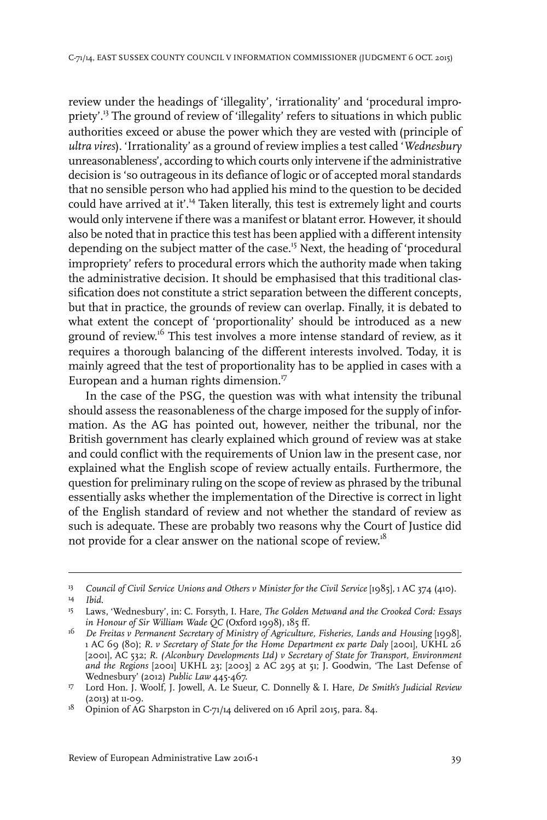review under the headings of 'illegality', 'irrationality' and 'procedural impropriety'.<sup>13</sup> The ground of review of 'illegality' refers to situations in which public authorities exceed or abuse the power which they are vested with (principle of *ultra vires*). 'Irrationality' as a ground of review implies a test called '*Wednesbury* unreasonableness', according to which courts only intervene if the administrative decision is 'so outrageous in its defiance of logic or of accepted moral standards that no sensible person who had applied his mind to the question to be decided could have arrived at it'.<sup>14</sup> Taken literally, this test is extremely light and courts would only intervene if there was a manifest or blatant error. However, it should also be noted that in practice this test has been applied with a different intensity depending on the subject matter of the case.<sup>15</sup> Next, the heading of 'procedural impropriety' refers to procedural errors which the authority made when taking the administrative decision. It should be emphasised that this traditional classification does not constitute a strict separation between the different concepts, but that in practice, the grounds of review can overlap. Finally, it is debated to what extent the concept of 'proportionality' should be introduced as a new ground of review.<sup>16</sup> This test involves a more intense standard of review, as it requires a thorough balancing of the different interests involved. Today, it is mainly agreed that the test of proportionality has to be applied in cases with a European and a human rights dimension.<sup>17</sup>

In the case of the PSG, the question was with what intensity the tribunal should assess the reasonableness of the charge imposed for the supply of information. As the AG has pointed out, however, neither the tribunal, nor the British government has clearly explained which ground of review was at stake and could conflict with the requirements of Union law in the present case, nor explained what the English scope of review actually entails. Furthermore, the question for preliminary ruling on the scope of review as phrased by the tribunal essentially asks whether the implementation of the Directive is correct in light of the English standard of review and not whether the standard of review as such is adequate. These are probably two reasons why the Court of Justice did not provide for a clear answer on the national scope of review.<sup>18</sup>

*Council of Civil Service Unions and Others v Minister for the Civil Service* [1985], 1 AC 374 (410). <sup>13</sup>

*Ibid*. 14

Laws, 'Wednesbury', in: C. Forsyth,I. Hare, *The Golden Metwand and the Crooked Cord: Essays* 15 *in Honour of Sir William Wade QC* (Oxford 1998), 185 ff.

*De Freitas v Permanent Secretary of Ministry of Agriculture, Fisheries, Lands and Housing* [1998], 16 1 AC 69 (80); *R. v Secretary of State for the Home Department ex parte Daly* [2001], UKHL 26 [2001], AC 532; *R. (Alconbury Developments Ltd) v Secretary of State for Transport, Environment and the Regions* [2001] UKHL 23; [2003] 2 AC 295 at 51; J. Goodwin, 'The Last Defense of Wednesbury' (2012) *Public Law* 445-467.

Lord Hon. J. Woolf, J. Jowell, A. Le Sueur, C. Donnelly & I. Hare, *De Smith's Judicial Review* 17 (2013) at 11-09.

 $^{18}$  Opinion of AG Sharpston in C-71/14 delivered on 16 April 2015, para. 84.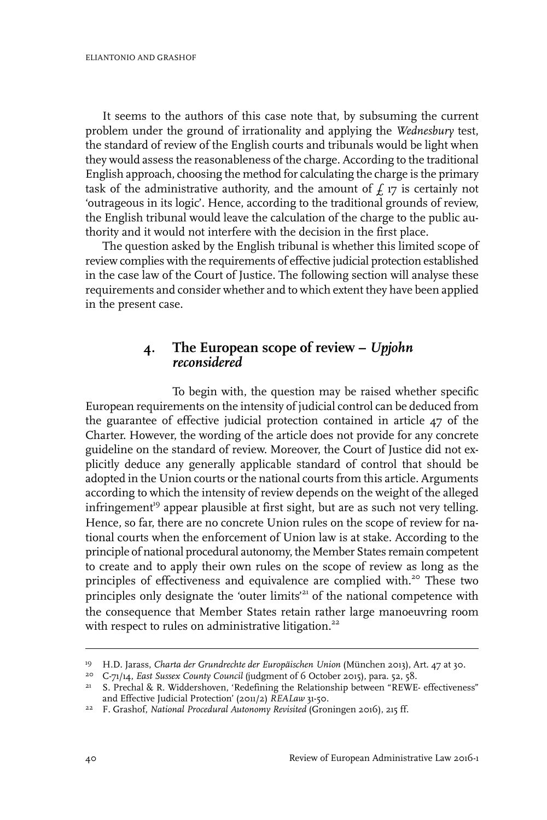It seems to the authors of this case note that, by subsuming the current problem under the ground of irrationality and applying the *Wednesbury* test, the standard of review of the English courts and tribunals would be light when they would assess the reasonableness of the charge. According to the traditional English approach, choosing the method for calculating the charge is the primary task of the administrative authority, and the amount of  $\ell$  17 is certainly not 'outrageous in its logic'. Hence, according to the traditional grounds of review, the English tribunal would leave the calculation of the charge to the public authority and it would not interfere with the decision in the first place.

The question asked by the English tribunal is whether this limited scope of review complies with the requirements of effective judicial protection established in the case law of the Court of Justice. The following section will analyse these requirements and consider whether and to which extent they have been applied in the present case.

#### **4. The European scope of review –** *Upjohn reconsidered*

To begin with, the question may be raised whether specific European requirements on the intensity of judicial control can be deduced from the guarantee of effective judicial protection contained in article 47 of the Charter. However, the wording of the article does not provide for any concrete guideline on the standard of review. Moreover, the Court of Justice did not explicitly deduce any generally applicable standard of control that should be adopted in the Union courts or the national courts from this article. Arguments according to which the intensity of review depends on the weight of the alleged infringement<sup>19</sup> appear plausible at first sight, but are as such not very telling. Hence, so far, there are no concrete Union rules on the scope of review for national courts when the enforcement of Union law is at stake. According to the principle of national procedural autonomy, the Member States remain competent to create and to apply their own rules on the scope of review as long as the principles of effectiveness and equivalence are complied with.<sup>20</sup> These two principles only designate the 'outer limits'<sup>21</sup> of the national competence with the consequence that Member States retain rather large manoeuvring room with respect to rules on administrative litigation.<sup>22</sup>

H.D. Jarass, *Charta der Grundrechte der Europäischen Union* (München 2013), Art. 47 at 30. <sup>19</sup>

<sup>&</sup>lt;sup>20</sup> C-71/14, *East Sussex County Council* (judgment of 6 October 2015), para. 52, 58.

<sup>&</sup>lt;sup>21</sup> S. Prechal & R. Widdershoven, 'Redefining the Relationship between "REWE- effectiveness" and Effective Judicial Protection' (2011/2) *REALaw* 31-50.

F. Grashof, *National Procedural Autonomy Revisited* (Groningen 2016), 215 ff. <sup>22</sup>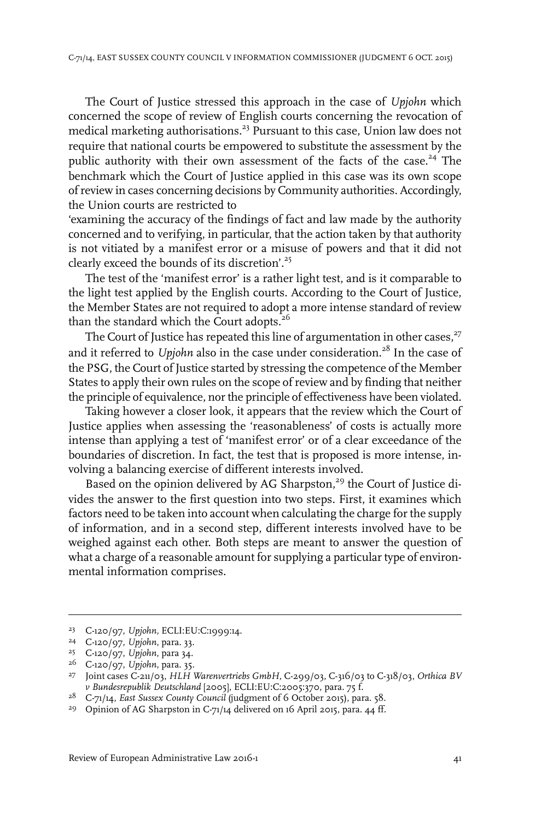The Court of Justice stressed this approach in the case of *Upjohn* which concerned the scope of review of English courts concerning the revocation of medical marketing authorisations.<sup>23</sup> Pursuant to this case, Union law does not require that national courts be empowered to substitute the assessment by the public authority with their own assessment of the facts of the case.<sup>24</sup> The benchmark which the Court of Justice applied in this case was its own scope ofreview in cases concerning decisions by Community authorities. Accordingly, the Union courts are restricted to

'examining the accuracy of the findings of fact and law made by the authority concerned and to verifying, in particular, that the action taken by that authority is not vitiated by a manifest error or a misuse of powers and that it did not clearly exceed the bounds of its discretion'.<sup>25</sup>

The test of the 'manifest error' is a rather light test, and is it comparable to the light test applied by the English courts. According to the Court of Justice, the Member States are not required to adopt a more intense standard of review than the standard which the Court adopts.<sup>26</sup>

The Court of Justice has repeated this line of argumentation in other cases,  $27$ and it referred to *Upjohn* also in the case under consideration.<sup>28</sup> In the case of the PSG, the Court of Justice started by stressing the competence of the Member States to apply their own rules on the scope of review and by finding that neither the principle of equivalence, nor the principle of effectiveness have been violated.

Taking however a closer look, it appears that the review which the Court of Justice applies when assessing the 'reasonableness' of costs is actually more intense than applying a test of 'manifest error' or of a clear exceedance of the boundaries of discretion. In fact, the test that is proposed is more intense, involving a balancing exercise of different interests involved.

Based on the opinion delivered by AG Sharpston,<sup>29</sup> the Court of Justice divides the answer to the first question into two steps. First, it examines which factors need to be taken into account when calculating the charge for the supply of information, and in a second step, different interests involved have to be weighed against each other. Both steps are meant to answer the question of what a charge of a reasonable amount for supplying a particular type of environmental information comprises.

<sup>&</sup>lt;sup>23</sup> C-120/97, *Upjohn*, *ECLI*:*EU*:*C*:1999:14.

C-120/97, *Upjohn*, para. 33. <sup>24</sup>

<sup>&</sup>lt;sup>25</sup> C-120/97, *Upjohn*, para 34.

<sup>&</sup>lt;sup>26</sup> C-120/97, *Upjohn*, para. 35.

Joint cases C-211/03, *HLH Warenvertriebs GmbH*, C-299/03, C-316/03 to C-318/03, *Orthica BV* 27 *v Bundesrepublik Deutschland* [2005], ECLI:EU:C:2005:370, para. 75 f.

C-71/14, *East Sussex County Council* (judgment of 6 October 2015), para. 58. <sup>28</sup>

<sup>&</sup>lt;sup>29</sup> Opinion of AG Sharpston in C-71/14 delivered on 16 April 2015, para. 44 ff.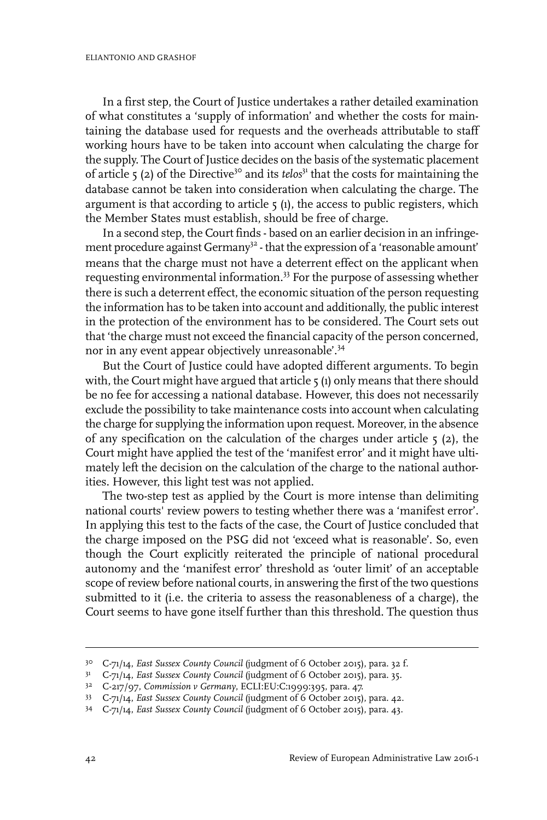In a first step, the Court of Justice undertakes a rather detailed examination of what constitutes a 'supply of information' and whether the costs for maintaining the database used for requests and the overheads attributable to staff working hours have to be taken into account when calculating the charge for the supply. The Court of Justice decides on the basis of the systematic placement of article 5 (2) of the Directive<sup>30</sup> and its *telos*<sup>31</sup> that the costs for maintaining the database cannot be taken into consideration when calculating the charge. The argument is that according to article 5 (1), the access to public registers, which the Member States must establish, should be free of charge.

In a second step, the Court finds - based on an earlier decision in an infringement procedure against Germany<sup>32</sup> - that the expression of a 'reasonable amount' means that the charge must not have a deterrent effect on the applicant when requesting environmental information.<sup>33</sup> For the purpose of assessing whether there is such a deterrent effect, the economic situation of the person requesting the information has to be taken into account and additionally, the public interest in the protection of the environment has to be considered. The Court sets out that 'the charge must not exceed the financial capacity of the person concerned, nor in any event appear objectively unreasonable'.<sup>34</sup>

But the Court of Justice could have adopted different arguments. To begin with, the Court might have argued that article 5 (1) only means that there should be no fee for accessing a national database. However, this does not necessarily exclude the possibility to take maintenance costs into account when calculating the charge for supplying the information upon request. Moreover, in the absence of any specification on the calculation of the charges under article  $\zeta$  (2), the Court might have applied the test of the 'manifest error' and it might have ultimately left the decision on the calculation of the charge to the national authorities. However, this light test was not applied.

The two-step test as applied by the Court is more intense than delimiting national courts' review powers to testing whether there was a 'manifest error'. In applying this test to the facts of the case, the Court of Justice concluded that the charge imposed on the PSG did not 'exceed what is reasonable'. So, even though the Court explicitly reiterated the principle of national procedural autonomy and the 'manifest error' threshold as 'outer limit' of an acceptable scope of review before national courts, in answering the first of the two questions submitted to it (i.e. the criteria to assess the reasonableness of a charge), the Court seems to have gone itself further than this threshold. The question thus

<sup>&</sup>lt;sup>30</sup> C-71/14, *East Sussex County Council* (judgment of 6 October 2015), para. 32 f.

<sup>&</sup>lt;sup>31</sup> C-71/14, *East Sussex County Council* (judgment of 6 October 2015), para. 35.

C-217/97, *Commission v Germany*, ECLI:EU:C:1999:395, para. 47. 32

C-71/14, *East Sussex County Council* (judgment of 6 October 2015), para. 42. <sup>33</sup>

<sup>&</sup>lt;sup>34</sup> C-71/14, *East Sussex County Council* (judgment of 6 October 2015), para. 43.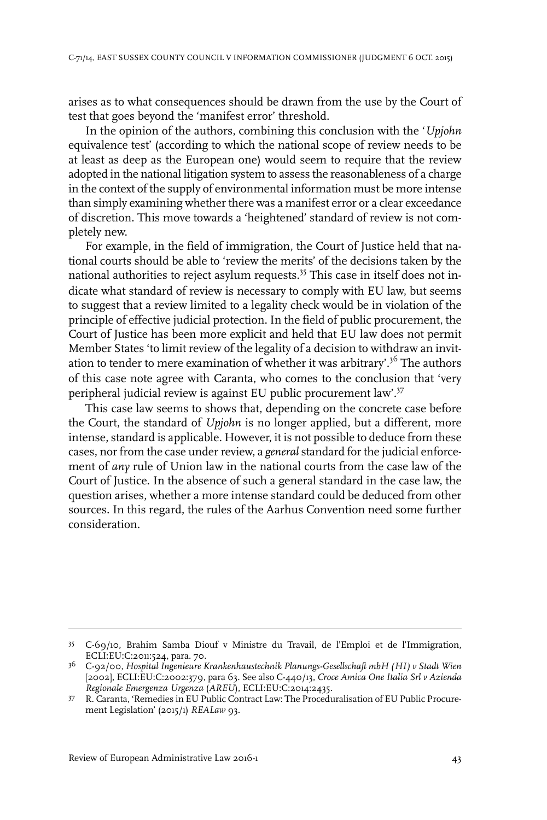arises as to what consequences should be drawn from the use by the Court of test that goes beyond the 'manifest error' threshold.

In the opinion of the authors, combining this conclusion with the '*Upjohn* equivalence test' (according to which the national scope of review needs to be at least as deep as the European one) would seem to require that the review adopted in the national litigation system to assess the reasonableness of a charge in the context of the supply of environmental information must be more intense than simply examining whether there was a manifest error or a clear exceedance of discretion. This move towards a 'heightened' standard of review is not completely new.

For example, in the field of immigration, the Court of Justice held that national courts should be able to 'review the merits' of the decisions taken by the national authorities to reject asylum requests.<sup>35</sup> This case in itself does not indicate what standard of review is necessary to comply with EU law, but seems to suggest that a review limited to a legality check would be in violation of the principle of effective judicial protection. In the field of public procurement, the Court of Justice has been more explicit and held that EU law does not permit Member States 'to limit review of the legality of a decision to withdraw an invitation to tender to mere examination of whether it was arbitrary'.<sup>36</sup> The authors of this case note agree with Caranta, who comes to the conclusion that 'very peripheral judicial review is against EU public procurement law'.<sup>37</sup>

This case law seems to shows that, depending on the concrete case before the Court, the standard of *Upjohn* is no longer applied, but a different, more intense, standard is applicable. However, it is not possible to deduce from these cases, nor from the case under review, a *general* standard for the judicial enforcement of *any* rule of Union law in the national courts from the case law of the Court of Justice. In the absence of such a general standard in the case law, the question arises, whether a more intense standard could be deduced from other sources. In this regard, the rules of the Aarhus Convention need some further consideration.

C-69/10, Brahim Samba Diouf v Ministre du Travail, de l'Emploi et de l'Immigration, 35 ECLI:EU:C:2011:524, para. 70.

C-92/00, *Hospital Ingenieure Krankenhaustechnik Planungs-Gesellschaft mbH (HI) v Stadt Wien* 36 [2002], ECLI:EU:C:2002:379, para 63. See also C-440/13, *Croce Amica One Italia Srl v Azienda Regionale Emergenza Urgenza* (*AREU*), ECLI:EU:C:2014:2435.

R. Caranta, 'Remedies in EU Public Contract Law: The Proceduralisation of EU Public Procure-37 ment Legislation' (2015/1) *REALaw* 93.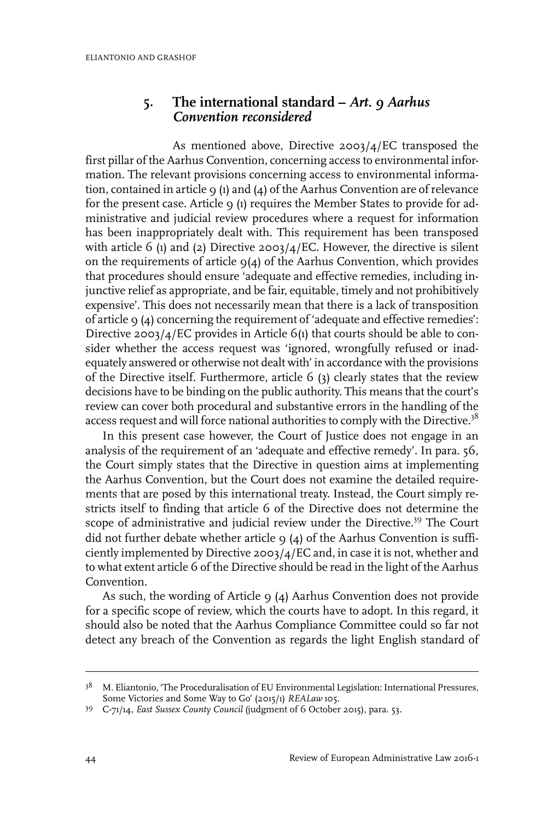### **5. The international standard –** *Art. 9 Aarhus Convention reconsidered*

As mentioned above, Directive 2003/4/EC transposed the first pillar of the Aarhus Convention, concerning access to environmental information. The relevant provisions concerning access to environmental information, contained in article 9 (1) and  $\Delta$ ) of the Aarhus Convention are of relevance for the present case. Article 9 (1) requires the Member States to provide for administrative and judicial review procedures where a request for information has been inappropriately dealt with. This requirement has been transposed with article 6 (1) and (2) Directive 2003/4/EC. However, the directive is silent on the requirements of article 9(4) of the Aarhus Convention, which provides that procedures should ensure 'adequate and effective remedies, including injunctive relief as appropriate, and be fair, equitable, timely and not prohibitively expensive'. This does not necessarily mean that there is a lack of transposition of article 9 (4) concerning the requirement of 'adequate and effective remedies': Directive 2003/4/EC provides in Article 6(1) that courts should be able to consider whether the access request was 'ignored, wrongfully refused or inadequately answered or otherwise not dealt with' in accordance with the provisions of the Directive itself. Furthermore, article 6 (3) clearly states that the review decisions have to be binding on the public authority. This means that the court's review can cover both procedural and substantive errors in the handling of the access request and will force national authorities to comply with the Directive.<sup>38</sup>

In this present case however, the Court of Justice does not engage in an analysis of the requirement of an 'adequate and effective remedy'. In para. 56, the Court simply states that the Directive in question aims at implementing the Aarhus Convention, but the Court does not examine the detailed requirements that are posed by this international treaty. Instead, the Court simply restricts itself to finding that article 6 of the Directive does not determine the scope of administrative and judicial review under the Directive.<sup>39</sup> The Court did not further debate whether article  $9$  (4) of the Aarhus Convention is sufficiently implemented by Directive 2003/4/EC and, in case it is not, whether and to what extent article 6 of the Directive should be read in the light of the Aarhus Convention.

As such, the wording of Article 9 (4) Aarhus Convention does not provide for a specific scope of review, which the courts have to adopt. In this regard, it should also be noted that the Aarhus Compliance Committee could so far not detect any breach of the Convention as regards the light English standard of

<sup>&</sup>lt;sup>38</sup> M. Eliantonio, 'The Proceduralisation of EU Environmental Legislation: International Pressures, Some Victories and Some Way to Go' (2015/1) *REALaw* 105.

<sup>&</sup>lt;sup>39</sup> C-71/14, *East Sussex County Council* (judgment of 6 October 2015), para. 53.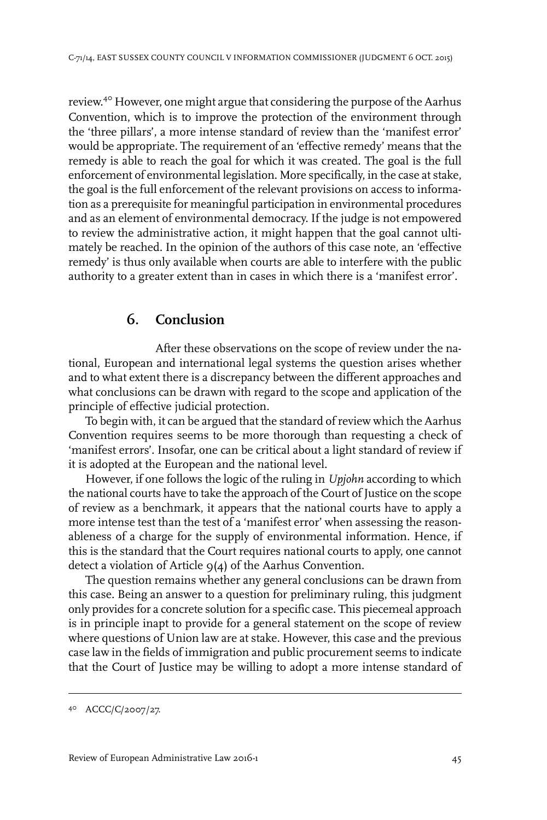review. <sup>40</sup> However, one might argue that considering the purpose of the Aarhus Convention, which is to improve the protection of the environment through the 'three pillars', a more intense standard of review than the 'manifest error' would be appropriate. The requirement of an 'effective remedy' means that the remedy is able to reach the goal for which it was created. The goal is the full enforcement of environmental legislation. More specifically, in the case at stake, the goal is the full enforcement of the relevant provisions on access to information as a prerequisite for meaningful participation in environmental procedures and as an element of environmental democracy. If the judge is not empowered to review the administrative action, it might happen that the goal cannot ultimately be reached. In the opinion of the authors of this case note, an 'effective remedy' is thus only available when courts are able to interfere with the public authority to a greater extent than in cases in which there is a 'manifest error'.

## **6. Conclusion**

After these observations on the scope of review under the national, European and international legal systems the question arises whether and to what extent there is a discrepancy between the different approaches and what conclusions can be drawn with regard to the scope and application of the principle of effective judicial protection.

To begin with, it can be argued that the standard of review which the Aarhus Convention requires seems to be more thorough than requesting a check of 'manifest errors'. Insofar, one can be critical about a light standard of review if it is adopted at the European and the national level.

However, if one follows the logic of the ruling in *Upjohn* according to which the national courts have to take the approach of the Court of Justice on the scope of review as a benchmark, it appears that the national courts have to apply a more intense test than the test of a 'manifest error' when assessing the reasonableness of a charge for the supply of environmental information. Hence, if this is the standard that the Court requires national courts to apply, one cannot detect a violation of Article 9(4) of the Aarhus Convention.

The question remains whether any general conclusions can be drawn from this case. Being an answer to a question for preliminary ruling, this judgment only provides for a concrete solution for a specific case. This piecemeal approach is in principle inapt to provide for a general statement on the scope of review where questions of Union law are at stake. However, this case and the previous case law in the fields of immigration and public procurement seems to indicate that the Court of Justice may be willing to adopt a more intense standard of

<sup>4°</sup> ACCC/C/2007/27.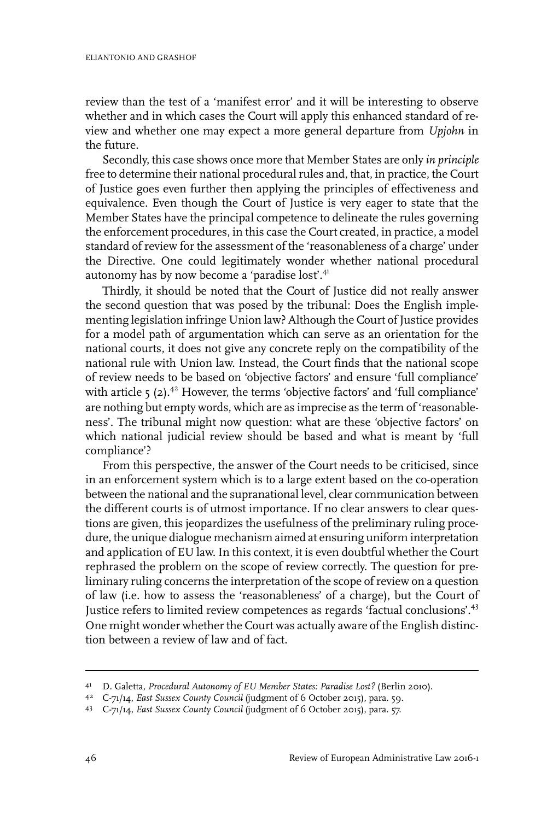review than the test of a 'manifest error' and it will be interesting to observe whether and in which cases the Court will apply this enhanced standard of review and whether one may expect a more general departure from *Upjohn* in the future.

Secondly, this case shows once more that Member States are only *in principle* free to determine their national procedural rules and, that, in practice, the Court of Justice goes even further then applying the principles of effectiveness and equivalence. Even though the Court of Justice is very eager to state that the Member States have the principal competence to delineate the rules governing the enforcement procedures, in this case the Court created, in practice, a model standard of review for the assessment of the 'reasonableness of a charge' under the Directive. One could legitimately wonder whether national procedural autonomy has by now become a 'paradise lost'.<sup>41</sup>

Thirdly, it should be noted that the Court of Justice did not really answer the second question that was posed by the tribunal: Does the English implementing legislation infringe Union law? Although the Court of Justice provides for a model path of argumentation which can serve as an orientation for the national courts, it does not give any concrete reply on the compatibility of the national rule with Union law. Instead, the Court finds that the national scope of review needs to be based on 'objective factors' and ensure 'full compliance' with article  $\zeta$  (2).<sup>42</sup> However, the terms 'objective factors' and 'full compliance' are nothing but empty words, which are as imprecise as the term of 'reasonableness'. The tribunal might now question: what are these 'objective factors' on which national judicial review should be based and what is meant by 'full compliance'?

From this perspective, the answer of the Court needs to be criticised, since in an enforcement system which is to a large extent based on the co-operation between the national and the supranational level, clear communication between the different courts is of utmost importance. If no clear answers to clear questions are given, this jeopardizes the usefulness of the preliminary ruling procedure, the unique dialogue mechanism aimed at ensuring uniform interpretation and application of EU law. In this context, it is even doubtful whether the Court rephrased the problem on the scope of review correctly. The question for preliminary ruling concerns the interpretation of the scope of review on a question of law (i.e. how to assess the 'reasonableness' of a charge), but the Court of Justice refers to limited review competences as regards 'factual conclusions'.<sup>43</sup> One might wonder whether the Court was actually aware of the English distinction between a review of law and of fact.

D. Galetta, *Procedural Autonomy of EU Member States: Paradise Lost?* (Berlin 2010). <sup>41</sup>

C-71/14, *East Sussex County Council* (judgment of 6 October 2015), para. 59. <sup>42</sup>

C-71/14, *East Sussex County Council* (judgment of 6 October 2015), para. 57. 43